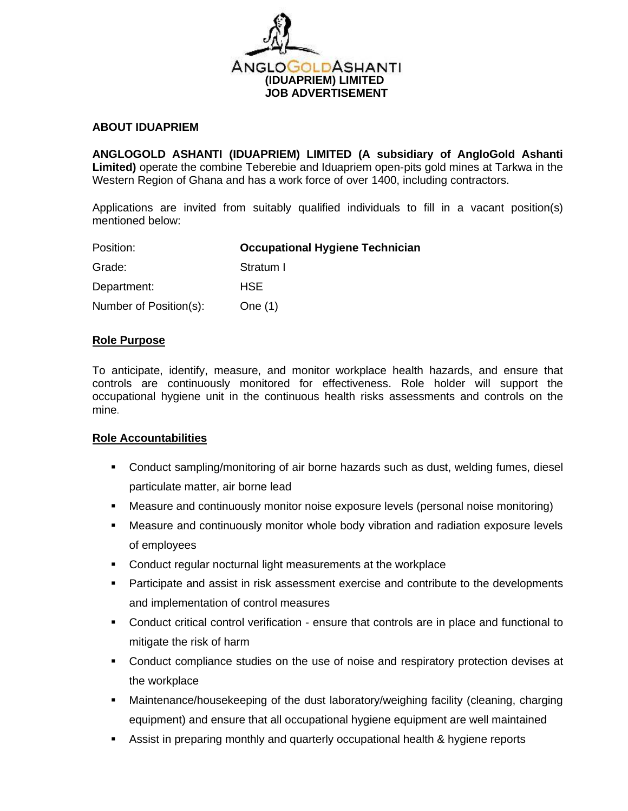

### **ABOUT IDUAPRIEM**

**ANGLOGOLD ASHANTI (IDUAPRIEM) LIMITED (A subsidiary of AngloGold Ashanti Limited)** operate the combine Teberebie and Iduapriem open-pits gold mines at Tarkwa in the Western Region of Ghana and has a work force of over 1400, including contractors.

Applications are invited from suitably qualified individuals to fill in a vacant position(s) mentioned below:

| Position:              | <b>Occupational Hygiene Technician</b> |
|------------------------|----------------------------------------|
| Grade:                 | Stratum I                              |
| Department:            | <b>HSE</b>                             |
| Number of Position(s): | One $(1)$                              |

## **Role Purpose**

To anticipate, identify, measure, and monitor workplace health hazards, and ensure that controls are continuously monitored for effectiveness. Role holder will support the occupational hygiene unit in the continuous health risks assessments and controls on the mine*.* 

#### **Role Accountabilities**

- Conduct sampling/monitoring of air borne hazards such as dust, welding fumes, diesel particulate matter, air borne lead
- **EXED** Measure and continuously monitor noise exposure levels (personal noise monitoring)
- **■** Measure and continuously monitor whole body vibration and radiation exposure levels of employees
- Conduct regular nocturnal light measurements at the workplace
- **•** Participate and assist in risk assessment exercise and contribute to the developments and implementation of control measures
- Conduct critical control verification ensure that controls are in place and functional to mitigate the risk of harm
- **•** Conduct compliance studies on the use of noise and respiratory protection devises at the workplace
- **■** Maintenance/housekeeping of the dust laboratory/weighing facility (cleaning, charging equipment) and ensure that all occupational hygiene equipment are well maintained
- **EXE** Assist in preparing monthly and quarterly occupational health & hygiene reports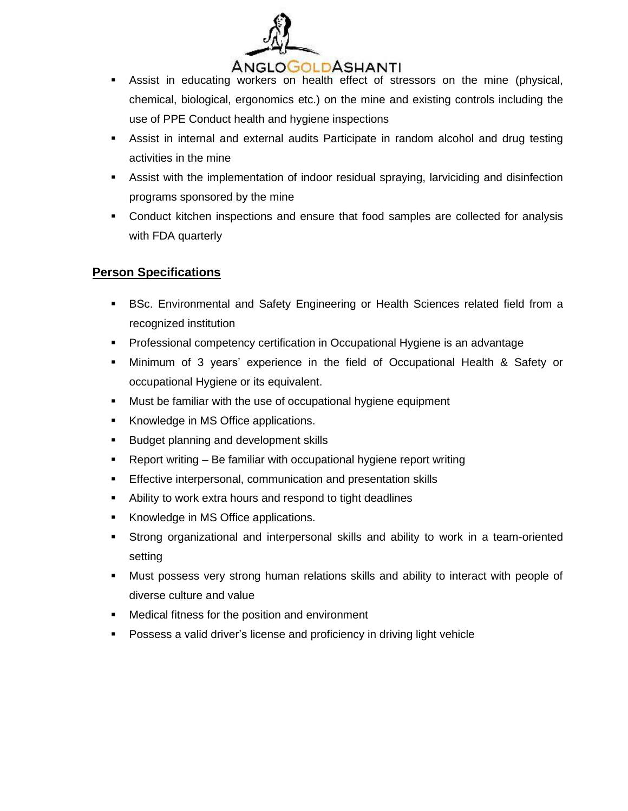

- **EXECT** Assist in educating workers on health effect of stressors on the mine (physical, chemical, biological, ergonomics etc.) on the mine and existing controls including the use of PPE Conduct health and hygiene inspections
- **EXTER Assist in internal and external audits Participate in random alcohol and drug testing** activities in the mine
- **EXECT** Assist with the implementation of indoor residual spraying, larviciding and disinfection programs sponsored by the mine
- **•** Conduct kitchen inspections and ensure that food samples are collected for analysis with FDA quarterly

# **Person Specifications**

- **EXEC.** Environmental and Safety Engineering or Health Sciences related field from a recognized institution
- Professional competency certification in Occupational Hygiene is an advantage
- Minimum of 3 years' experience in the field of Occupational Health & Safety or occupational Hygiene or its equivalent.
- Must be familiar with the use of occupational hygiene equipment
- Knowledge in MS Office applications.
- Budget planning and development skills
- Report writing Be familiar with occupational hygiene report writing
- **Effective interpersonal, communication and presentation skills**
- Ability to work extra hours and respond to tight deadlines
- Knowledge in MS Office applications.
- **EXECT Strong organizational and interpersonal skills and ability to work in a team-oriented** setting
- **■** Must possess very strong human relations skills and ability to interact with people of diverse culture and value
- Medical fitness for the position and environment
- Possess a valid driver's license and proficiency in driving light vehicle